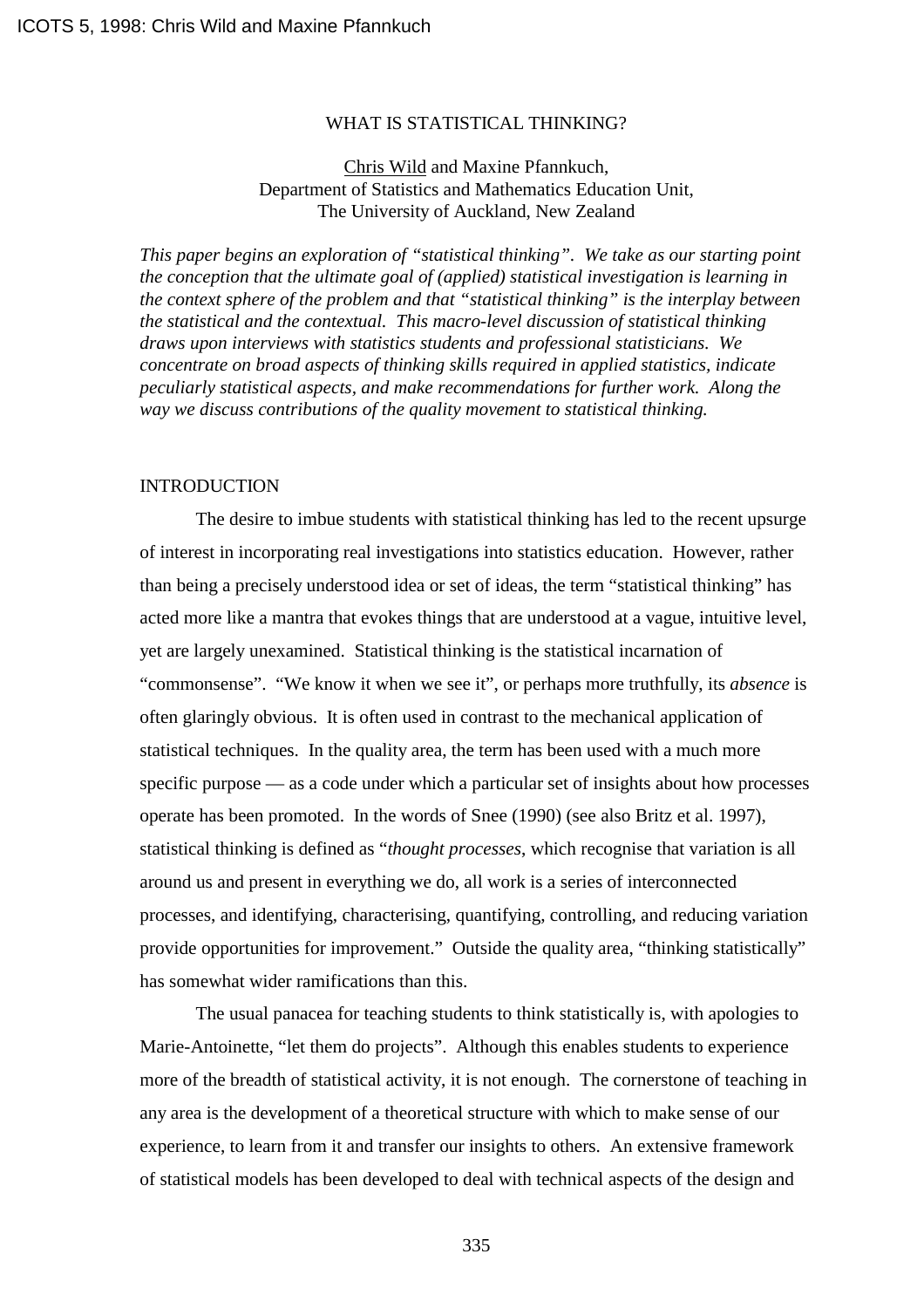## WHAT IS STATISTICAL THINKING?

# Chris Wild and Maxine Pfannkuch, Department of Statistics and Mathematics Education Unit, The University of Auckland, New Zealand

*This paper begins an exploration of "statistical thinking". We take as our starting point the conception that the ultimate goal of (applied) statistical investigation is learning in the context sphere of the problem and that "statistical thinking" is the interplay between the statistical and the contextual. This macro-level discussion of statistical thinking draws upon interviews with statistics students and professional statisticians. We concentrate on broad aspects of thinking skills required in applied statistics, indicate peculiarly statistical aspects, and make recommendations for further work. Along the way we discuss contributions of the quality movement to statistical thinking.*

## **INTRODUCTION**

The desire to imbue students with statistical thinking has led to the recent upsurge of interest in incorporating real investigations into statistics education. However, rather than being a precisely understood idea or set of ideas, the term "statistical thinking" has acted more like a mantra that evokes things that are understood at a vague, intuitive level, yet are largely unexamined. Statistical thinking is the statistical incarnation of "commonsense". "We know it when we see it", or perhaps more truthfully, its *absence* is often glaringly obvious. It is often used in contrast to the mechanical application of statistical techniques. In the quality area, the term has been used with a much more specific purpose — as a code under which a particular set of insights about how processes operate has been promoted. In the words of Snee (1990) (see also Britz et al. 1997), statistical thinking is defined as "*thought processes*, which recognise that variation is all around us and present in everything we do, all work is a series of interconnected processes, and identifying, characterising, quantifying, controlling, and reducing variation provide opportunities for improvement." Outside the quality area, "thinking statistically" has somewhat wider ramifications than this.

The usual panacea for teaching students to think statistically is, with apologies to Marie-Antoinette, "let them do projects". Although this enables students to experience more of the breadth of statistical activity, it is not enough. The cornerstone of teaching in any area is the development of a theoretical structure with which to make sense of our experience, to learn from it and transfer our insights to others. An extensive framework of statistical models has been developed to deal with technical aspects of the design and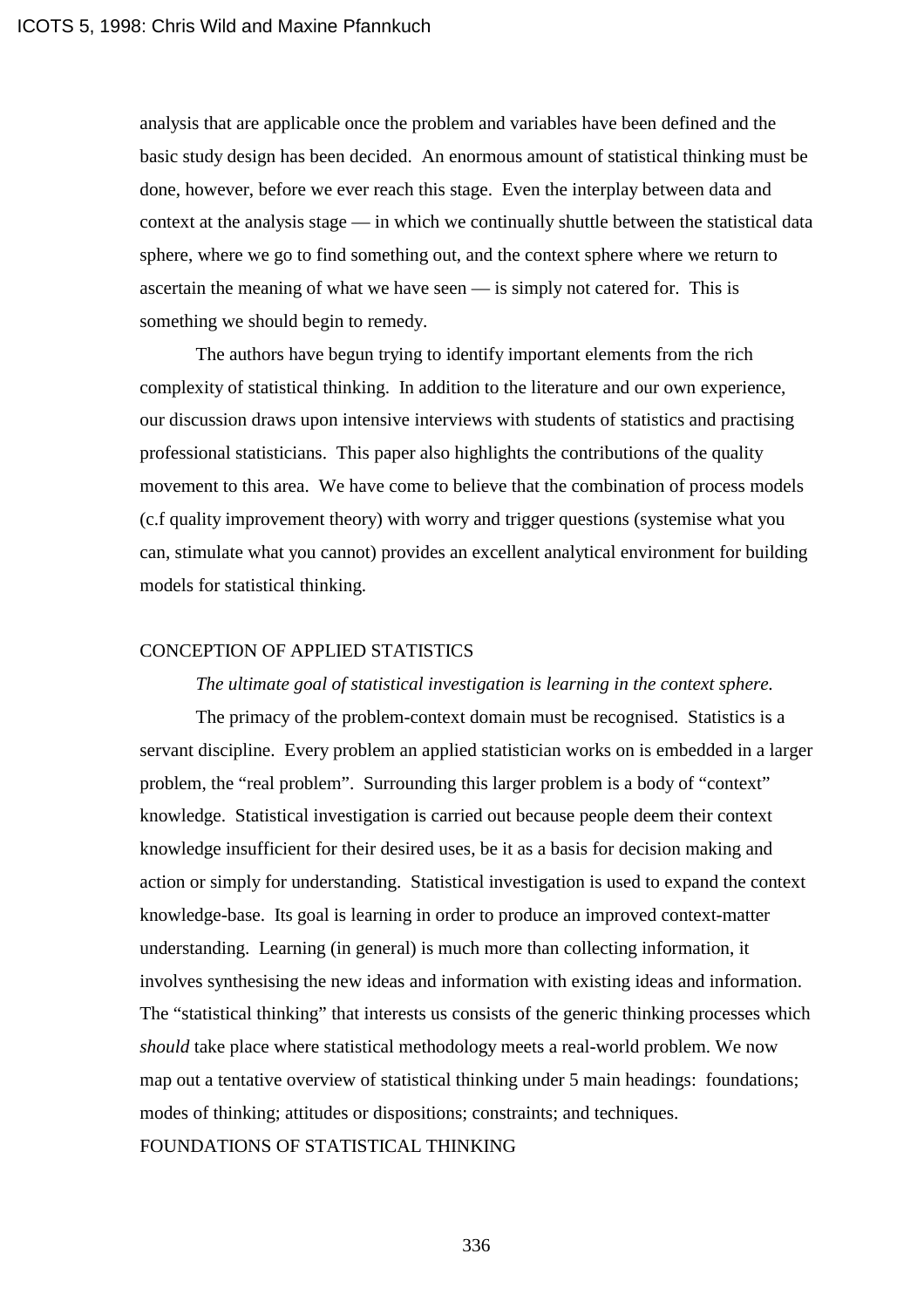analysis that are applicable once the problem and variables have been defined and the basic study design has been decided. An enormous amount of statistical thinking must be done, however, before we ever reach this stage. Even the interplay between data and context at the analysis stage — in which we continually shuttle between the statistical data sphere, where we go to find something out, and the context sphere where we return to ascertain the meaning of what we have seen — is simply not catered for. This is something we should begin to remedy.

The authors have begun trying to identify important elements from the rich complexity of statistical thinking. In addition to the literature and our own experience, our discussion draws upon intensive interviews with students of statistics and practising professional statisticians. This paper also highlights the contributions of the quality movement to this area. We have come to believe that the combination of process models (c.f quality improvement theory) with worry and trigger questions (systemise what you can, stimulate what you cannot) provides an excellent analytical environment for building models for statistical thinking.

#### CONCEPTION OF APPLIED STATISTICS

#### *The ultimate goal of statistical investigation is learning in the context sphere.*

The primacy of the problem-context domain must be recognised. Statistics is a servant discipline. Every problem an applied statistician works on is embedded in a larger problem, the "real problem". Surrounding this larger problem is a body of "context" knowledge. Statistical investigation is carried out because people deem their context knowledge insufficient for their desired uses, be it as a basis for decision making and action or simply for understanding. Statistical investigation is used to expand the context knowledge-base. Its goal is learning in order to produce an improved context-matter understanding. Learning (in general) is much more than collecting information, it involves synthesising the new ideas and information with existing ideas and information. The "statistical thinking" that interests us consists of the generic thinking processes which *should* take place where statistical methodology meets a real-world problem. We now map out a tentative overview of statistical thinking under 5 main headings: foundations; modes of thinking; attitudes or dispositions; constraints; and techniques. FOUNDATIONS OF STATISTICAL THINKING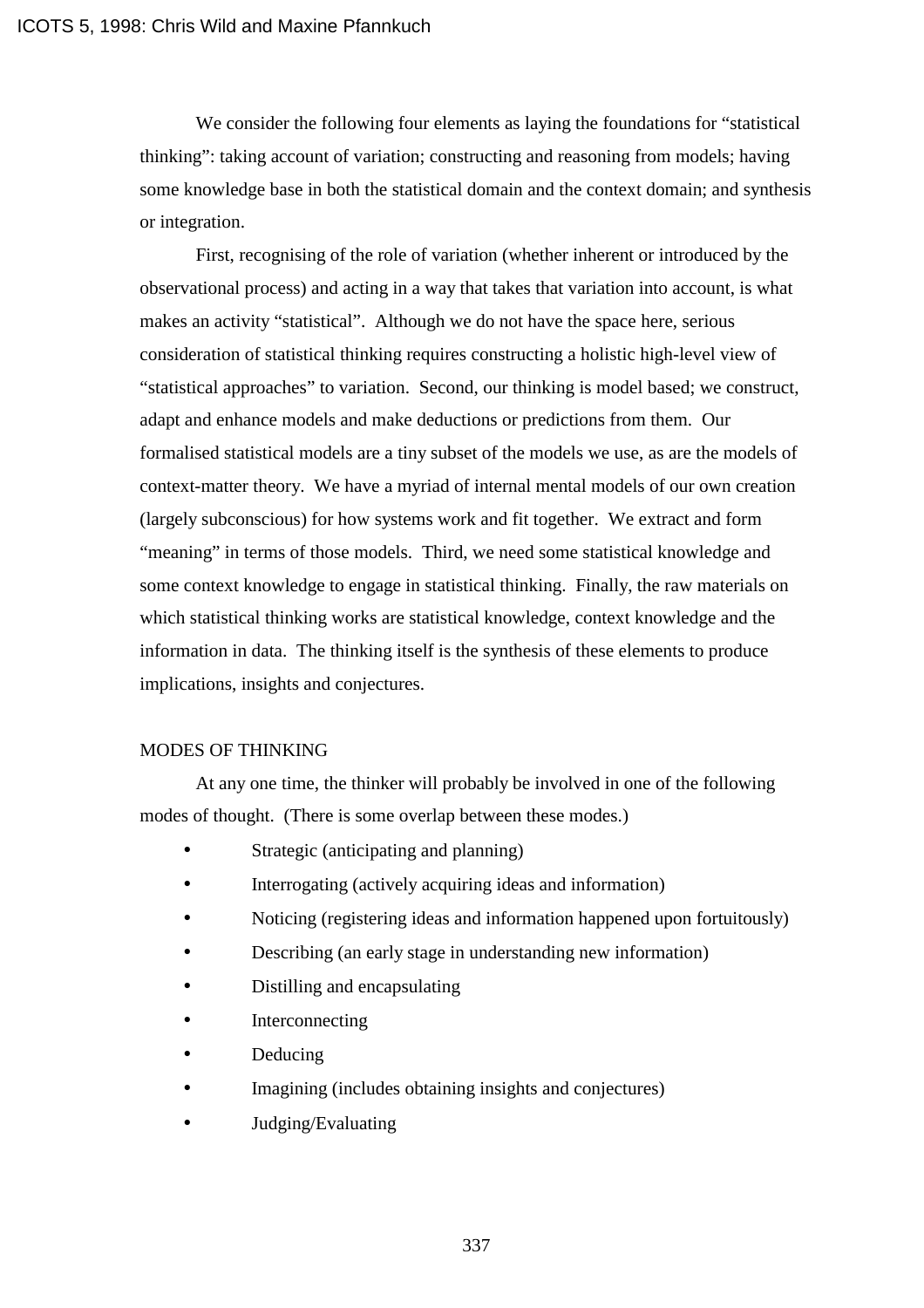We consider the following four elements as laying the foundations for "statistical thinking": taking account of variation; constructing and reasoning from models; having some knowledge base in both the statistical domain and the context domain; and synthesis or integration.

First, recognising of the role of variation (whether inherent or introduced by the observational process) and acting in a way that takes that variation into account, is what makes an activity "statistical". Although we do not have the space here, serious consideration of statistical thinking requires constructing a holistic high-level view of "statistical approaches" to variation. Second, our thinking is model based; we construct, adapt and enhance models and make deductions or predictions from them. Our formalised statistical models are a tiny subset of the models we use, as are the models of context-matter theory. We have a myriad of internal mental models of our own creation (largely subconscious) for how systems work and fit together. We extract and form "meaning" in terms of those models. Third, we need some statistical knowledge and some context knowledge to engage in statistical thinking. Finally, the raw materials on which statistical thinking works are statistical knowledge, context knowledge and the information in data. The thinking itself is the synthesis of these elements to produce implications, insights and conjectures.

## MODES OF THINKING

At any one time, the thinker will probably be involved in one of the following modes of thought. (There is some overlap between these modes.)

- Strategic (anticipating and planning)
- Interrogating (actively acquiring ideas and information)
- Noticing (registering ideas and information happened upon fortuitously)
- Describing (an early stage in understanding new information)
- Distilling and encapsulating
- **Interconnecting**
- Deducing
- Imagining (includes obtaining insights and conjectures)
- Judging/Evaluating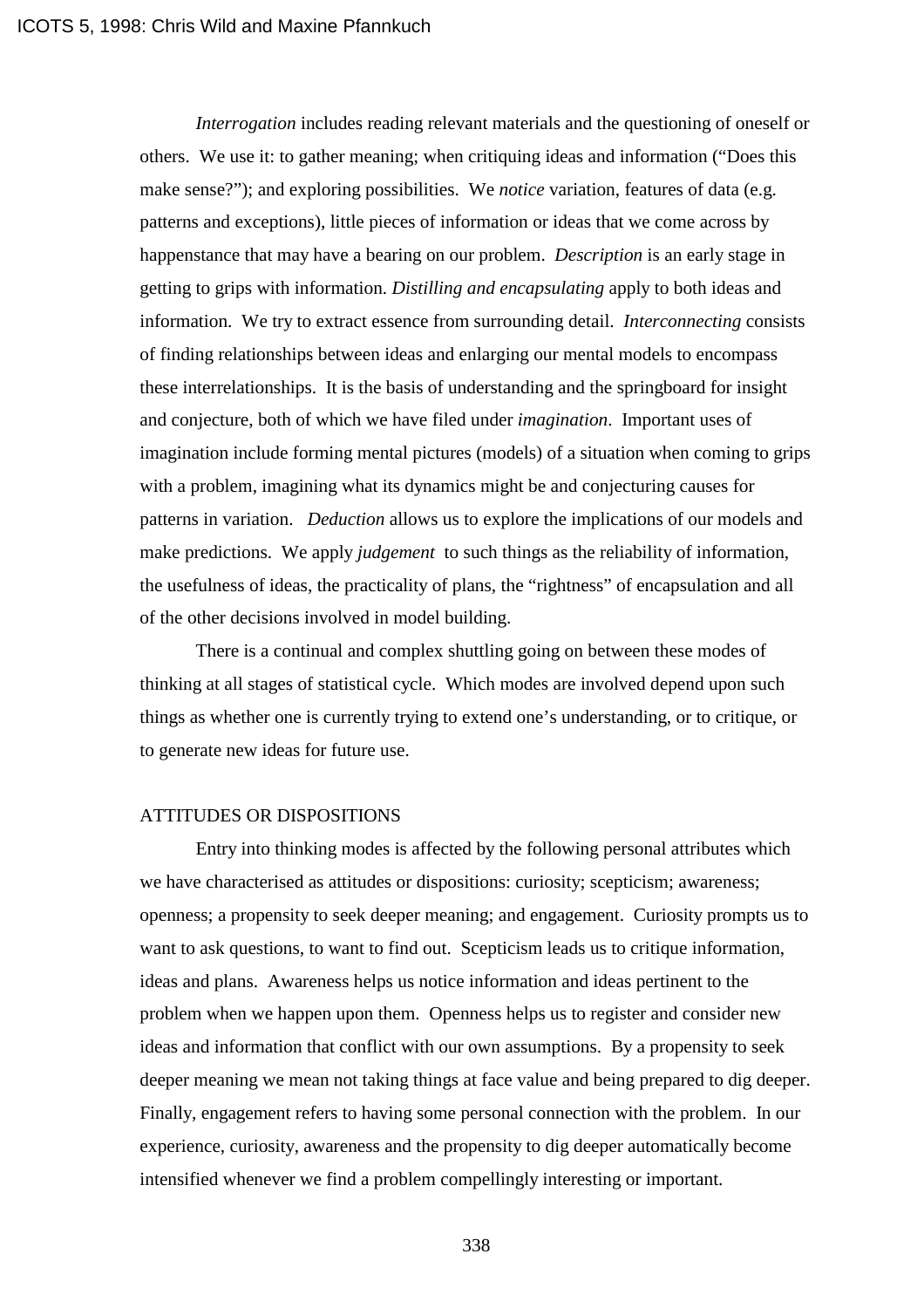*Interrogation* includes reading relevant materials and the questioning of oneself or others. We use it: to gather meaning; when critiquing ideas and information ("Does this make sense?"); and exploring possibilities. We *notice* variation, features of data (e.g. patterns and exceptions), little pieces of information or ideas that we come across by happenstance that may have a bearing on our problem. *Description* is an early stage in getting to grips with information. *Distilling and encapsulating* apply to both ideas and information. We try to extract essence from surrounding detail. *Interconnecting* consists of finding relationships between ideas and enlarging our mental models to encompass these interrelationships. It is the basis of understanding and the springboard for insight and conjecture, both of which we have filed under *imagination*. Important uses of imagination include forming mental pictures (models) of a situation when coming to grips with a problem, imagining what its dynamics might be and conjecturing causes for patterns in variation. *Deduction* allows us to explore the implications of our models and make predictions. We apply *judgement* to such things as the reliability of information, the usefulness of ideas, the practicality of plans, the "rightness" of encapsulation and all of the other decisions involved in model building.

There is a continual and complex shuttling going on between these modes of thinking at all stages of statistical cycle. Which modes are involved depend upon such things as whether one is currently trying to extend one's understanding, or to critique, or to generate new ideas for future use.

#### ATTITUDES OR DISPOSITIONS

Entry into thinking modes is affected by the following personal attributes which we have characterised as attitudes or dispositions: curiosity; scepticism; awareness; openness; a propensity to seek deeper meaning; and engagement. Curiosity prompts us to want to ask questions, to want to find out. Scepticism leads us to critique information, ideas and plans. Awareness helps us notice information and ideas pertinent to the problem when we happen upon them. Openness helps us to register and consider new ideas and information that conflict with our own assumptions. By a propensity to seek deeper meaning we mean not taking things at face value and being prepared to dig deeper. Finally, engagement refers to having some personal connection with the problem. In our experience, curiosity, awareness and the propensity to dig deeper automatically become intensified whenever we find a problem compellingly interesting or important.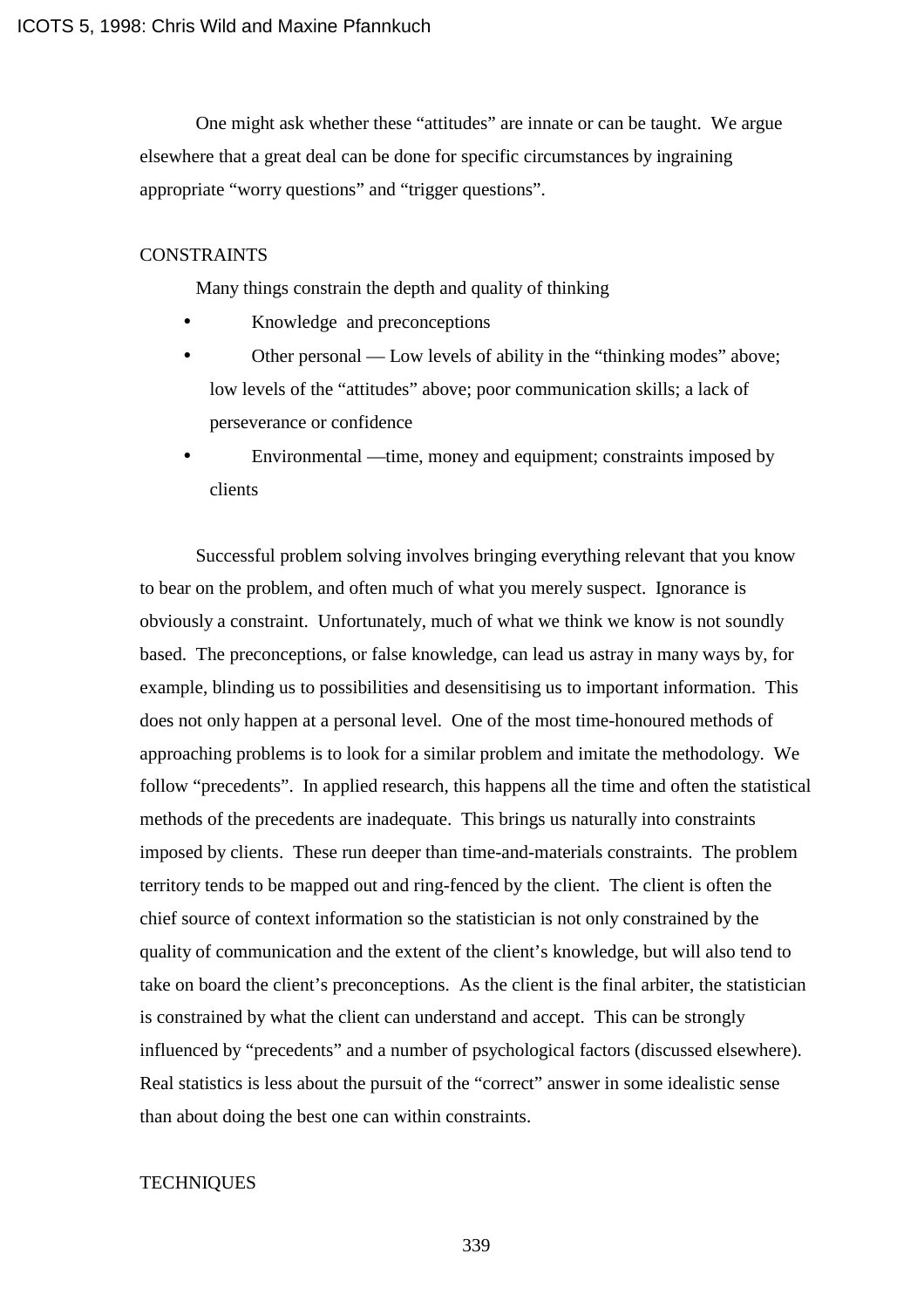One might ask whether these "attitudes" are innate or can be taught. We argue elsewhere that a great deal can be done for specific circumstances by ingraining appropriate "worry questions" and "trigger questions".

#### **CONSTRAINTS**

Many things constrain the depth and quality of thinking

- Knowledge and preconceptions
- Other personal Low levels of ability in the "thinking modes" above; low levels of the "attitudes" above; poor communication skills; a lack of perseverance or confidence
- Environmental —time, money and equipment; constraints imposed by clients

Successful problem solving involves bringing everything relevant that you know to bear on the problem, and often much of what you merely suspect. Ignorance is obviously a constraint. Unfortunately, much of what we think we know is not soundly based. The preconceptions, or false knowledge, can lead us astray in many ways by, for example, blinding us to possibilities and desensitising us to important information. This does not only happen at a personal level. One of the most time-honoured methods of approaching problems is to look for a similar problem and imitate the methodology. We follow "precedents". In applied research, this happens all the time and often the statistical methods of the precedents are inadequate. This brings us naturally into constraints imposed by clients. These run deeper than time-and-materials constraints. The problem territory tends to be mapped out and ring-fenced by the client. The client is often the chief source of context information so the statistician is not only constrained by the quality of communication and the extent of the client's knowledge, but will also tend to take on board the client's preconceptions. As the client is the final arbiter, the statistician is constrained by what the client can understand and accept. This can be strongly influenced by "precedents" and a number of psychological factors (discussed elsewhere). Real statistics is less about the pursuit of the "correct" answer in some idealistic sense than about doing the best one can within constraints.

# **TECHNIQUES**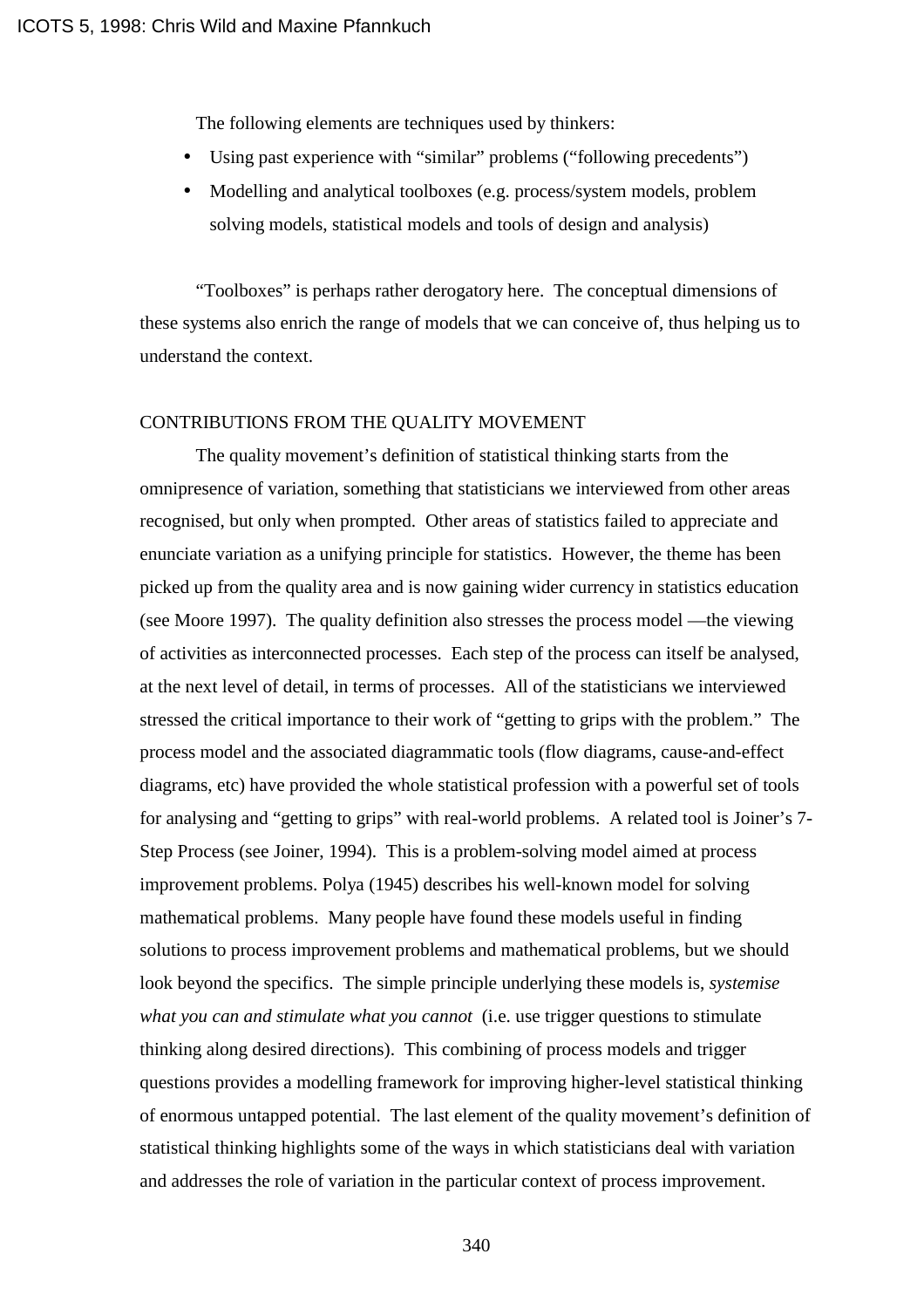The following elements are techniques used by thinkers:

- Using past experience with "similar" problems ("following precedents")
- Modelling and analytical toolboxes (e.g. process/system models, problem solving models, statistical models and tools of design and analysis)

"Toolboxes" is perhaps rather derogatory here. The conceptual dimensions of these systems also enrich the range of models that we can conceive of, thus helping us to understand the context.

## CONTRIBUTIONS FROM THE QUALITY MOVEMENT

The quality movement's definition of statistical thinking starts from the omnipresence of variation, something that statisticians we interviewed from other areas recognised, but only when prompted. Other areas of statistics failed to appreciate and enunciate variation as a unifying principle for statistics. However, the theme has been picked up from the quality area and is now gaining wider currency in statistics education (see Moore 1997). The quality definition also stresses the process model —the viewing of activities as interconnected processes. Each step of the process can itself be analysed, at the next level of detail, in terms of processes. All of the statisticians we interviewed stressed the critical importance to their work of "getting to grips with the problem." The process model and the associated diagrammatic tools (flow diagrams, cause-and-effect diagrams, etc) have provided the whole statistical profession with a powerful set of tools for analysing and "getting to grips" with real-world problems. A related tool is Joiner's 7- Step Process (see Joiner, 1994). This is a problem-solving model aimed at process improvement problems. Polya (1945) describes his well-known model for solving mathematical problems. Many people have found these models useful in finding solutions to process improvement problems and mathematical problems, but we should look beyond the specifics. The simple principle underlying these models is, *systemise what you can and stimulate what you cannot* (i.e. use trigger questions to stimulate thinking along desired directions). This combining of process models and trigger questions provides a modelling framework for improving higher-level statistical thinking of enormous untapped potential. The last element of the quality movement's definition of statistical thinking highlights some of the ways in which statisticians deal with variation and addresses the role of variation in the particular context of process improvement.